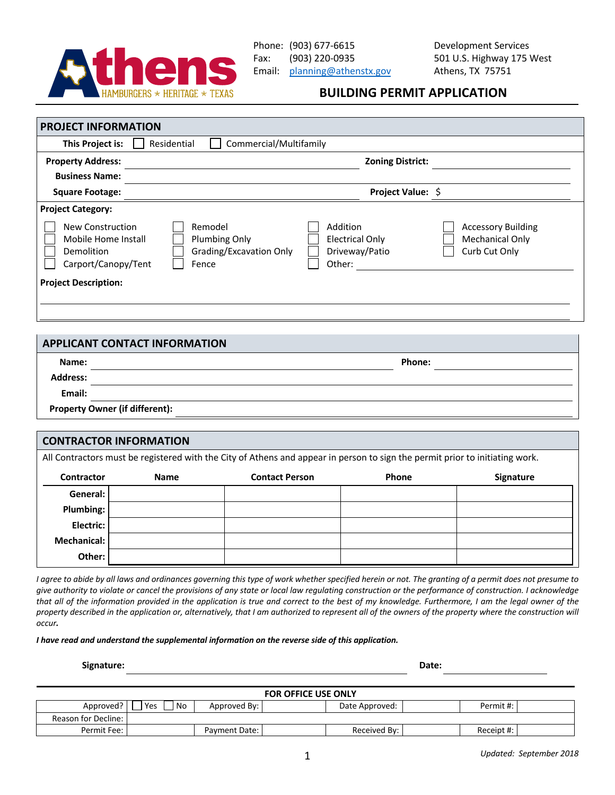

## **BUILDING PERMIT APPLICATION**

| This Project is:                                                                                         | Commercial/Multifamily<br>Residential                        |                                                                |                                                                      |  |  |
|----------------------------------------------------------------------------------------------------------|--------------------------------------------------------------|----------------------------------------------------------------|----------------------------------------------------------------------|--|--|
| <b>Property Address:</b>                                                                                 |                                                              | <b>Zoning District:</b>                                        |                                                                      |  |  |
| <b>Business Name:</b>                                                                                    |                                                              |                                                                |                                                                      |  |  |
| <b>Square Footage:</b>                                                                                   |                                                              | Project Value: \$                                              |                                                                      |  |  |
| <b>Project Category:</b><br>New Construction<br>Mobile Home Install<br>Demolition<br>Carport/Canopy/Tent | Remodel<br>Plumbing Only<br>Grading/Excavation Only<br>Fence | Addition<br><b>Electrical Only</b><br>Driveway/Patio<br>Other: | <b>Accessory Building</b><br><b>Mechanical Only</b><br>Curb Cut Only |  |  |
| <b>Project Description:</b>                                                                              |                                                              |                                                                |                                                                      |  |  |

| <b>APPLICANT CONTACT INFORMATION</b>  |        |  |  |  |  |
|---------------------------------------|--------|--|--|--|--|
| Name:                                 | Phone: |  |  |  |  |
| <b>Address:</b>                       |        |  |  |  |  |
| Email:                                |        |  |  |  |  |
| <b>Property Owner (if different):</b> |        |  |  |  |  |

| <b>CONTRACTOR INFORMATION</b>                                                                                                |             |                       |              |                  |  |  |  |
|------------------------------------------------------------------------------------------------------------------------------|-------------|-----------------------|--------------|------------------|--|--|--|
| All Contractors must be registered with the City of Athens and appear in person to sign the permit prior to initiating work. |             |                       |              |                  |  |  |  |
| <b>Contractor</b>                                                                                                            | <b>Name</b> | <b>Contact Person</b> | <b>Phone</b> | <b>Signature</b> |  |  |  |
| General:                                                                                                                     |             |                       |              |                  |  |  |  |
| <b>Plumbing:</b>                                                                                                             |             |                       |              |                  |  |  |  |
| Electric:                                                                                                                    |             |                       |              |                  |  |  |  |
| <b>Mechanical:</b>                                                                                                           |             |                       |              |                  |  |  |  |
| Other:                                                                                                                       |             |                       |              |                  |  |  |  |

*I agree to abide by all laws and ordinances governing this type of work whether specified herein or not. The granting of a permit does not presume to give authority to violate or cancel the provisions of any state or local law regulating construction or the performance of construction. I acknowledge that all of the information provided in the application is true and correct to the best of my knowledge. Furthermore, I am the legal owner of the property described in the application or, alternatively, that I am authorized to represent all of the owners of the property where the construction will occur.*

*I have read and understand the supplemental information on the reverse side of this application.*

**Signature: Date:**

| <b>FOR OFFICE USE ONLY</b> |            |               |  |                |  |            |  |
|----------------------------|------------|---------------|--|----------------|--|------------|--|
| Approved?                  | No.<br>Yes | Approved By:  |  | Date Approved: |  | Permit #:  |  |
| <b>Reason for Decline:</b> |            |               |  |                |  |            |  |
| Permit Fee:                |            | Payment Date: |  | Received By:   |  | Receipt #: |  |